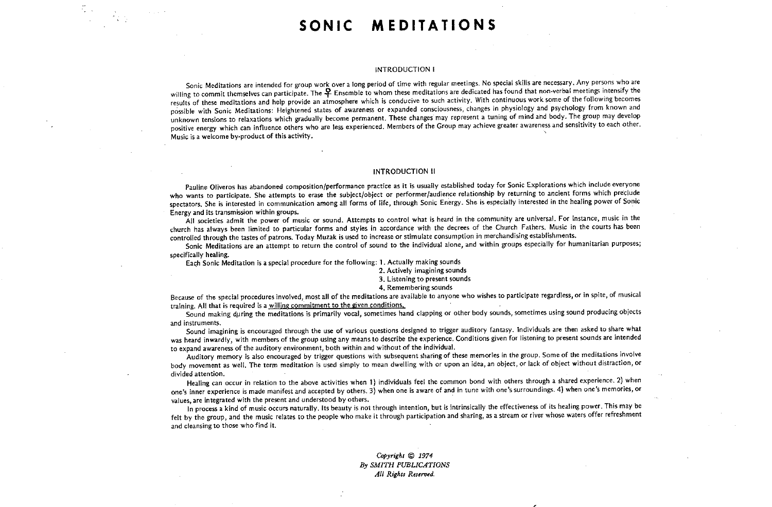#### **MEDITATIONS** SONIC

#### INTRODUCTION I

Sonic Meditations are intended for group work over a long period of time with regular inteurings. No special skins are necessary, Any porsons who are<br>Willing to commit themselves can participate. The  $\frac{1}{2}$  Ensemble to results of these meditations and help provide an atmosphere which is conducive to such activity. With continuous work some of the following becomes possible with Sonic Meditations: Heightened states of awareness or expanded consciousness, changes in physiology and psychology from known and unknown tensions to relaxations which gradually become permanent. These changes may represent a tuning of mind and body. The group may develop positive energy which can influence others who are less experienced. Members of the Group may achieve greater awareness and sensitivity to each other. Music is a welcome by-product of this activity.

#### **INTRODUCTION II**

Pauline Oliveros has abandoned composition/performance practice as it is usually established today for Sonic Explorations which include everyone who wants to participate. She attempts to erase the subject/object or performer/audience relationship by returning to ancient forms which preclude spectators. She is interested in communication among all forms of life, through Sonic Energy. She is especially interested in the healing power of Sonic Energy and its transmission within groups.

All societies admit the power of music or sound. Attempts to control what is heard in the community are universal. For instance, music in the church has always been limited to particular forms and styles in accordance with the decrees of the Church Fathers. Music in the courts has been controlled through the tastes of patrons. Today Muzak is used to increase or stimulate consumption in merchandising establishments.

Sonic Meditations are an attempt to return the control of sound to the individual alone, and within groups especially for humanitarian purposes; specifically healing.

Each Sonic Meditation is a special procedure for the following: 1. Actually making sounds

2. Actively imagining sounds

3. Listening to present sounds

4. Remembering sounds

Because of the special procedures involved, most all of the meditations are available to anyone who wishes to participate regardless, or in spite, of musical training. All that is required is a willing commitment to the given conditions.

Sound making during the meditations is primarily vocal, sometimes hand clapping or other body sounds, sometimes using sound producing objects and instruments.

Sound imagining is encouraged through the use of various questions designed to trigger auditory fantasy. Individuals are then asked to share what was heard inwardly, with members of the group using any means to describe the experience. Conditions given for listening to present sounds are intended to expand awareness of the auditory environment, both within and without of the individual.

Auditory memory is also encouraged by trigger questions with subsequent sharing of these memories in the group. Some of the meditations involve body movement as well. The term meditation is used simply to mean dwelling with or upon an idea, an object, or lack of object without distraction, or divided attention.

Healing can occur in relation to the above activities when 1) individuals feel the common bond with others through a shared experience. 2) when one's inner experience is made manifest and accepted by others. 3) when one is aware of and in tune with one's surroundings. 4) when one's memories, or values, are integrated with the present and understood by others.

In process a kind of music occurs naturally. Its beauty is not through intention, but is intrinsically the effectiveness of its healing power. This may be felt by the group, and the music relates to the people who make it through participation and sharing, as a stream or river whose waters offer refreshment and cleansing to those who find it.

# *Copyright* © 1974 *By SMITH PUBLICATIONS All Rights Reserved.*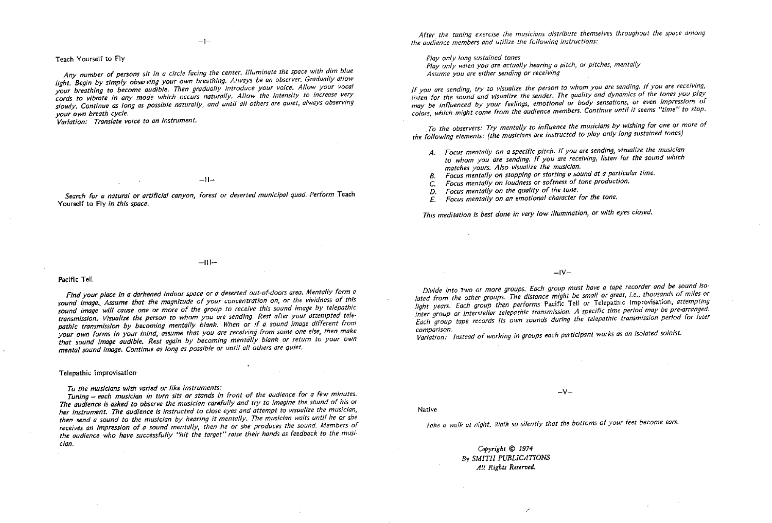#### Teach Yourself to Fly

*Any number* of *persons sit in a circle facing the center. Illuminate the space with dim blue light. Begin by simply observing your own breathing, Always be an observer. Gradually allow your breathing* to *become audible, Then gradually Introduce your voice. Allow your vocal cords to vibrate In any mode which occurs naturally, Allow the intensity to Increase very slowly. Continue as long as possible naturally, and until all others are quiet, always observing your own breath cycle.*

*Variation: Translate voice to an instrument.*

#### $-11-$

Search for a natural or artificial canyon, forest or deserted municipal quad. Perform Teach Yourself to Fly in this space.

After the tuning exercise the musicians distribute themselves throughout the space among the audience members and utilize the following instructions:

*Ploy only long sustained tones Play only when you are actually hearing a Pitch, or pitches, mentally*

*Af* you are sending, try to visualize the person to whom you are sending. If you are receiving, *listen for the sound and visualize the sender. The quality and dynamics of the tones you play may be influenced by your feelings, emotional or body sensations, or even impressions of* ray be minumed by factor the audience members. Continue until it seems "time" to stop<br>colors, which might come from the audience members. Continue until it seems "time" to stop

To the observers: Ity mentally to influence the musicialis by wishing ion one of the following elements: (the musicians are instructed to play only long sustained tones)

- *A, Focus mentally on a specific pitch. If you are sending, visualize the musician to matches* vours. Also visualize the musician.
- *Focus mentally on stopping or starting a sound at a particular time.*
- *B, Focus mentally on stopping or starting a sound at a particular time.*
- $D.$  *Focus mentally* on the quality of the tone.
- D. Focus mentury on the quality of the cone.<br>E. Focus mentally on an emotional character for the tone

This meditation is best done in very low illumination, or with eyes closed.

#### $-111-$

#### Pacific Tell

*Find your place In a darkened indoor space or a deserted out-of-doors area, Mentally form a sound image .. Assume that the magnitude* of *your concentration on, or the vividness* of *this sound image will cause one or more* of *the group to receive this sound image by telepathic transmIssion. Visualize the person to whom you are sending. Rest after your attempted telepathic transmission by becoming mentally blank. When or If a sound image different from your own forms in your mind, assume that you are receiving from some one else, then make that sound image audible. Rest again by becoming mentally blonk or return to your own mental sound Image, Continue as long as possible or until 011others are quiet.*

#### Telepathic Improvisation

*To the musicians with varied or like instruments:*

To the musicians with varied or like instruments:<br>Tuning – each musician in turn sits or stands in front of the audience for a few minutes *her instrument, The audience is instructed to close eyes and attempt to visualize the musician, then send a sound to the musician by hearing it mentally. The musician waits until he or she then* send a sound to the musician by hearing it mentally. The musician waits until he or she *receives an impression of a sound mentally, then he or she produces the sound. Members of* the audience who have successfully "hit the target" raise their hands as feedback to the musician.

 $-IV-$ 

*Divide into two or more groups, Each group must have a tape recorder and be sound isolated from the other groups. The distance might be small or great, i.e., thousands* of *miles or light years, Each group then performs* Pacific Tell *or* Telepathic Improvisation, *attempting inter group or interstellar telepathic transmission. A specific time period may be pre-arranged. Each group tape records its own sounds during the telepathic transmission period for later comparison.*

*Variation: Instead* of *working in groups each participant works as an isolated soloist.*

 $-V-$ 

#### Native

Take a walk at night. Walk so silently that the bottoms of your feet become ears.

# *Copyright* © 1974 *By SMITH PUBLICATIONS All Rights Reserved.*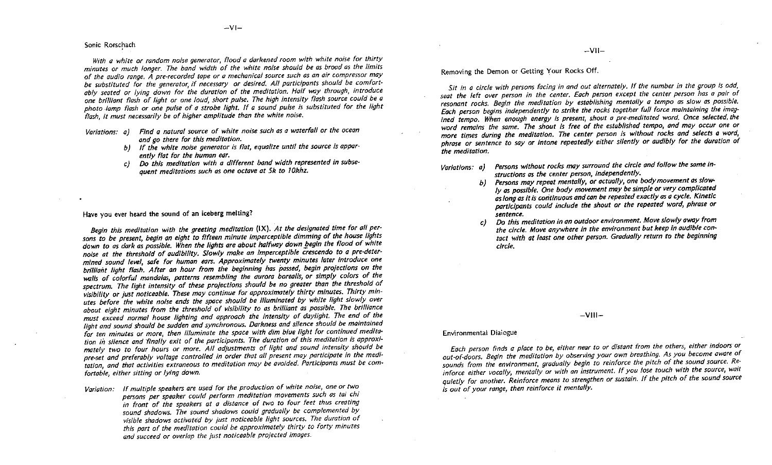#### Sonic Rorschach

*With a white or random noise generator, flood a darkened room with white noise for thirty minutes or much longer. The band width of the white noise should be as broad as the limits of the audio range. A pre·recorded tape or a mechanical source such as an air compressor may be substituted for the generator, if necessary or desired. All participants should be comfortably seated or lying down for the duration* of *the meditation. Half way through, introduce one brilliant flash* of *light or one loud, short pulse. The high intensity flash source could be a* photo lamp flash or one pulse of a strobe light. If a sound pulse is substituted for the light *flash, it must necessarily be* of *higher amplitude than the white noise.*

- *Variations: oj Find a natural source of white noise such as a waterfall or the ocean and go there for this meditation.*
	- *b) If the white noise generator is flat, equalize until the source is apparently flat for the human ear.*
	- c) *Do this meditation with a different band width represented in subse· quent meditations such as one octave at 5k to 10khz.*

# Have you ever heard the sound of an iceberg melting?

*Begin this meditation with the greeting meditation* (IX). *At the designated time for oil per· sons to be present, begin on eight to fifteen minute imperceptible dimming of the house lights down* to *as dark as possible. When the lights are about halfway down begin the flood of white noise at the threshold of audibility. Slowly make an Imperceptible Crescendo to a pre-determined sound level, safe for human ears. Approximately twenty minutes later introduce one bn'/Iiaht light flash. After an hour from the beginning has Passed, begin projections on the walls of colorful mandalas, patterns resembling the aurora borealis, or simpfy colors of the spectrum. The light intensity of these projections should be no greater than the threshold of visibility or Just noticeable. These may continue for approximately thirty minutes. Thirty minutes before the white noise ends the space should be illuminated by white light slowly over about eight minutes from the threshold of visibility to as brilliant as possible. The brilliance must exceed normal house lighting and approach the intensity of daylight. The end of the light and sound should be sudden and synchronous. Darkness and silence should be mointained for ten minutes or more, then illuminate the space with dim blue light for continued meditation in silence and "finally exit of the participants. The duration of this meditation is approximately two to four hours or more. All adjustments* of *light and sound intensity should be pre-set and preferably voltage controlled\_ in order that all present may participate in the meditation, and that activities extraneous to meditation may be avoided. Participants must be comfortable, either sitting or lying down.*

*Variation: if multiple speakers are used for the production* of *white noise, one or two persons per speaker could perform meditation movements such as tai chi in front of the speakers at a distance* of *two to four feet thus creating sound shadows. The sound shadows could gradually be complemented by visible shadows activated by just noticeable light sources. The duration of this part* of *the meditation could be approximately thirty to forty minutes and succeed or overlap the just noticeable projected images.*

 $-VII-$ 

Removing the Demon or Getting Your Rocks Off.

Sit in a circle with persons facing in and out alternately. If the number in the group is odd,<br>seat the left over person in the center. Each person except the center person has a pair of *resonant rocks. Begin the meditation by establishing mentally a tempo as slow as possible. Fach person begins independently to strike the rocks together full force maintaining the imagined tempo. When enough energy is present, shout a pre-meditated word. Once selected the i word remains the same. The shout is free of the established tempo. and may occur one or more times during the meditation. The center person is without rocks and selects a word.* phrase or sentence to say or intone repeatedly either silently or audibly for the duration of *the meditation.*

*Variations: a) Persons without rocks may surround the circle and follow the some in-*

- *b)* Persons may repeat mentally, or actually, one body movement as slow*b) Persons may repeat mentally, or actually, one body movement as slowly as possible .. One body movement may be simple or very complicated* as long as it is continuous and can be repeated exactly as a cycle. Kineth<br>participants could include the shout or the repeated word, phrase o *sentence.*
- c) Do this meditation in an outdoor environment, move slowly away hold<br>the circle. Move anywhere in the environment but keep in audible cor *tact with at least one other person. Gradually return to the beginning circle.*

 $-VIII -$ 

#### Environmental Diaiogue

*Each person finds a place to be, either near to or distant from the others, either indoors- or out-of-doors. Begin the meditation by observing your own breathing. As you become aware* of *sounds from the environment, gradually begin to reinforce the pitch* of *the sound source. Reinforce either vocally, mentally or with an instrument. If you lose touch with the source, wait quietly for another. Reinforce means to strengthen or sustain. If the pitch of the sound source is out* of *your range, then reinforce it mentally.*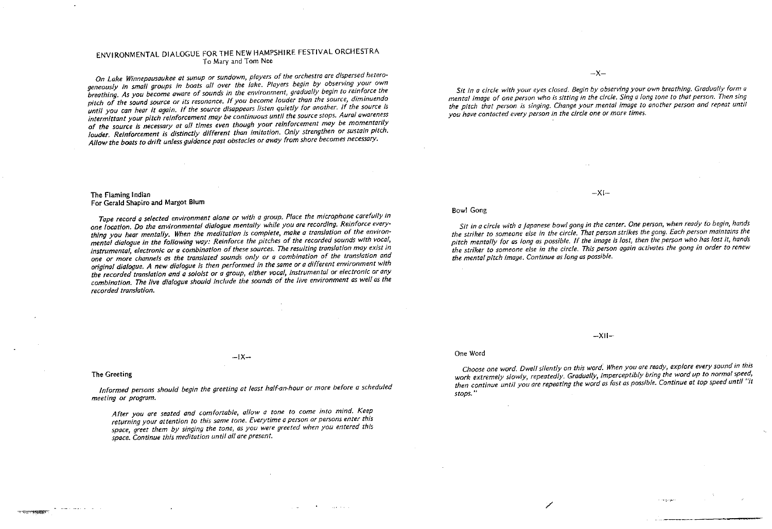# ENVIRONMENTAL DIALOGUE FOR THE NEW HAMPSHIRE FESTIVAL ORCHESTRA To Mary and Tom Nee

*On Lake Winnepausaukee at sunup or sundown, players* of *the orchestra are dispersed heterogeneously in smalJ groups in boots all over the lake. Players begin by observing your own breathing. As you become aware* of *sounds in the environment, gradually begin to reinforce the pitch* of *the sound source or its resonance. If you become louder than the source, diminuendo until you can hear it again. If the source disappears listen quietly for another. If the source is intermlttant your pitch reinforcement may be continuous until the source stops. Aural awareness of the source is necessary at ail times even though your reinforcement may be momentarily louder. Reinforcement is distinctly different than imitation. Only strengthen or sustain pitch. Allow the boats to drift unless gUidance past obstacles or away from shore becomes necessary.*

#### The Flaming Indian For Gerald Shapiro and Margot Blum

*Tope record a selected environment alone or with a group. Place the microphone carefully in one locotion. Do the environmental dialogue mentally while you are recording. Reinforce everything you hear mentally. When the meditation is complete, make a translation of the environmental dialogue in the follOWing way: Reinforce the pitches of the recorded sounds with vocal, instrumental, electronic oro combination* of *these sources. The resulting translation may exist in one or more channels as the translated sounds only or a combination of the translation and originol dialogue. A new dialogue is then performed in the same or a different environment with the recorded translation ond a soloist or a group, either vocal, instrumental or electronic or any combinotion. The Jive dialogue should include the sounds* of *the live environment as well as the recorded tronslation.*

 $-X-$ 

*Sit in a circfe with your eyes closed. Begin by observing your own breathing. Gradually form a* the pitch that person is singing. Change your mental image to another person and repeat until you have contacted every person in the circle one or more times.

 $-XI-$ 

# **Bowl Gong**

Sit in a circle with a Japanese bowl gong in the center. One person, when ready to begin, hands<br>the striker to someone else in the circle. That person strikes the gong. Each person maintains the *the to there <i>to to there is inclusively <i>to the image is lost, then the person who has lost it, hands person the maintains the maintains the maintains i.e.* pitch mentally for as long as possible. If the linge is lost, then the person who has lost it, hall<br>the striker to someone else in the circle. This person again activates the gong in order to rene *the mental pitch image. Continue as long as possible.*

 $-1X-$ 

#### The Greeting

Informed persons should begin the greeting at least half-an-hour or more before a scheduled meeting or program.

*After you are seated and comfortable, allow a tone to come into mind. Keep* After you are seated and comfortable, allow a folle to come into timia. Recip<br>returning your attention to this same tone. Everytime a person or persons enter th *space, greet them by singing the tone, as you were greeted when you entered this space. Continue this meditation until all are present.* 

#### One Word

*Choose one word. Dwell silently on this word When you are ready, explore every sound in this work extremely slowly, repeatedly. Gradually, imperceptibly bring the word up to normal speed,* then continue until you are repeating the word as fast as possible. Continue at top speed until "it *stops, "*

**Detta** 

 $-XII-$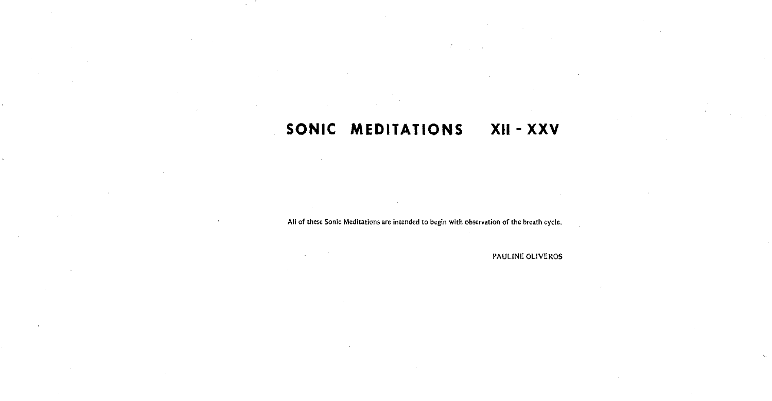# **SONIC MEDITATIONS** XII - **XXV**

All of these Sonic Meditations are intended to begin with observation of the breath cycle.

PAULINE OLIVEROS